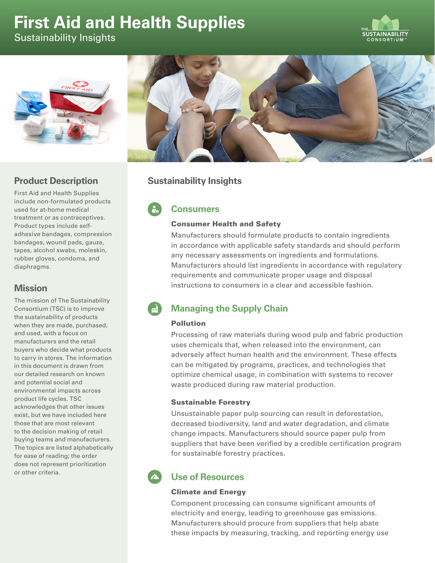# **First Aid and Health Supplies**

Sustainability Insights





## **Product Description**

First Aid and Health Supplies include non-formulated products used for at-home medical treatment or as contraceptives. Product types include selfadhesive bandages, compression bandages, wound pads, gauze, tapes, alcohol swabs, moleskin, rubber gloves, condoms, and diaphragms.

### **Mission**

The mission of The Sustainability Consortium (TSC) is to improve the sustainability of products when they are made, purchased, and used, with a focus on manufacturers and the retail buyers who decide what products to carry in stores. The information in this document is drawn from our detailed research on known and potential social and environmental impacts across product life cycles. TSC acknowledges that other issues exist, but we have included here those that are most relevant to the decision making of retail buying teams and manufacturers. The topics are listed alphabetically for ease of reading; the order does not represent prioritization or other criteria.



## **Sustainability Insights**

# **Consumers**

#### Consumer Health and Safety

Manufacturers should formulate products to contain ingredients in accordance with applicable safety standards and should perform any necessary assessments on ingredients and formulations. Manufacturers should list ingredients in accordance with regulatory requirements and communicate proper usage and disposal instructions to consumers in a clear and accessible fashion.

# **Managing the Supply Chain**

#### Pollution

Processing of raw materials during wood pulp and fabric production uses chemicals that, when released into the environment, can adversely affect human health and the environment. These effects can be mitigated by programs, practices, and technologies that optimize chemical usage, in combination with systems to recover waste produced during raw material production.

#### Sustainable Forestry

Unsustainable paper pulp sourcing can result in deforestation, decreased biodiversity, land and water degradation, and climate change impacts. Manufacturers should source paper pulp from suppliers that have been verified by a credible certification program for sustainable forestry practices.

# **Use of Resources**

#### Climate and Energy

Component processing can consume significant amounts of electricity and energy, leading to greenhouse gas emissions. Manufacturers should procure from suppliers that help abate these impacts by measuring, tracking, and reporting energy use